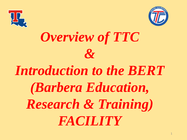



# *Overview of TTC &*

# *Introduction to the BERT (Barbera Education, Research & Training) FACILITY*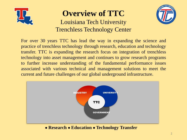

### **Overview of TTC**

Louisiana Tech University Trenchless Technology Center



For over 30 years TTC has lead the way in expanding the science and practice of trenchless technology through research, education and technology transfer. TTC is expanding the research focus on integration of trenchless technology into asset management and continues to grow research programs to further increase understanding of the fundamental performance issues associated with various technical and management solutions to meet the current and future challenges of our global underground infrastructure.



• **Research** • **Education** • **Technology Transfer**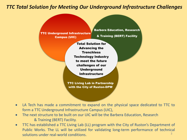#### *TTC Total Solution for Meeting Our Underground Infrastructure Challenges*



- LA Tech has made a commitment to expand on the physical space dedicated to TTC to form a TTC Underground Infrastructure Campus (UIC),
- The next structure to be built on our UIC will be the Barbera Education, Research & Training (BERT) Facility.
- TTC has established a TTC Living Lab (LL) program with the City of Ruston's Department of Public Works. The LL will be utilized for validating long-term performance of technical solutions under real-world conditions. 3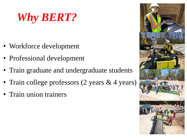## *Why BERT?*

- Workforce development
- Professional development
- Train graduate and undergraduate students
- Train college professors (2 years & 4 years)
- Train union trainers

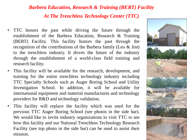### *Barbera Education, Research & Training (BERT) Facility At The Trenchless Technology Center (TTC)*

- TTC honors the past while driving the future through the establishment of the Barbera Education, Research & Training (BERT) Facility. This facility honors the past through the recognition of the contributions of the Barbera family (Leo & Jim) to the trenchless industry. It drives the future of the industry through the establishment of a world-class field training and research facility.
- This facility will be available for the research, development, and training for the entire trenchless technology industry including TTC Specialty Schools such as Auger Boring School and Utility Investigation School. In addition, it will be available for international equipment and material manufactures and technology providers for R&D and technology validation.
- This facility will replace the facility which was used for the previous TTC Auger Boring School (see photos in the side bar). We would like to invite industry organizations to visit TTC to see how this facility and our National Trenchless Technology Research Facility (see top photo in the side bar) can be used to assist their mission.

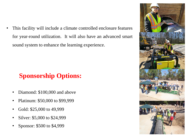This facility will include a climate controlled enclosure features for year-round utilization. It will also have an advanced smart sound system to enhance the learning experience.

### **Sponsorship Options:**

- Diamond: \$100,000 and above
- Platinum: \$50,000 to \$99,999
- Gold: \$25,000 to 49,999
- Silver: \$5,000 to \$24,999
- Sponsor: \$500 to \$4,999

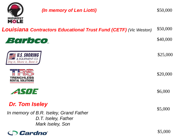

*(In memory of Len Liotti)*

\$50,000

| <b>Louisiana Contractors Educational Trust Fund (CETF)</b> (Vic Weston)           | \$50,000 |
|-----------------------------------------------------------------------------------|----------|
| <i>Barbco</i>                                                                     | \$40,000 |
| U.S. SHORING<br>Shore it, Bore it                                                 | \$25,000 |
| FNCHI<br>NTAL SOLUTIONS                                                           | \$20,000 |
| <b>ESUE</b>                                                                       | \$6,000  |
| <b>Dr. Tom Iseley</b>                                                             | \$5,000  |
| In memory of B.R. Iseley, Grand Father<br>D.T. Iseley, Father<br>Mark Iseley, Son |          |
| Cardno                                                                            | \$5,000  |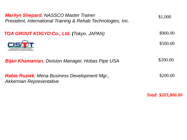| <b>Marilyn Shepard, NASSCO Master Trainer</b><br>President, International Training & Rehab Technologies, Inc. | \$1,000  |
|---------------------------------------------------------------------------------------------------------------|----------|
| <b>TOA GROUT KOGYO Co., Ltd. (Tokyo, JAPAN)</b>                                                               | \$900.00 |
|                                                                                                               | \$500.00 |
| <b>Bijan Khamanian</b> , Division Manager, Hobas Pipe USA                                                     | \$200.00 |
| <b>Rabie Ruziek, Mena Business Development Mgr.,</b><br>Akkerman Representative                               | \$200.00 |

*Total: \$203,800.00*